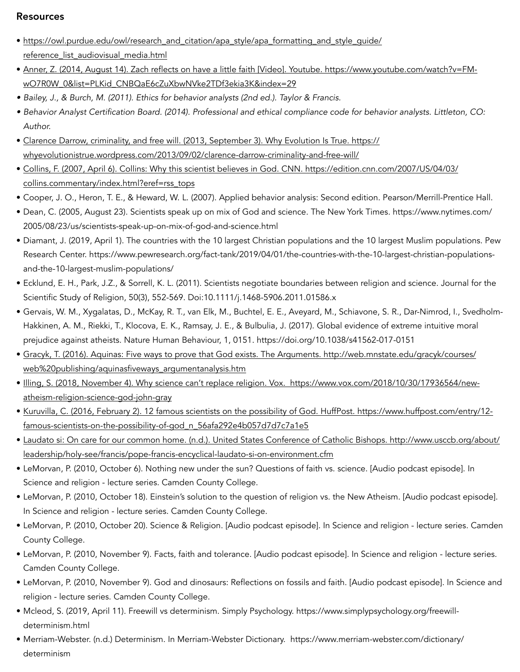## Resources

- [https://owl.purdue.edu/owl/research\\_and\\_citation/apa\\_style/apa\\_formatting\\_and\\_style\\_guide/](https://owl.purdue.edu/owl/research_and_citation/apa_style/apa_formatting_and_style_guide/reference_list_audiovisual_media.html) [reference\\_list\\_audiovisual\\_media.html](https://owl.purdue.edu/owl/research_and_citation/apa_style/apa_formatting_and_style_guide/reference_list_audiovisual_media.html)
- Anner, Z. (2014, August 14). Zach reflects on have a little faith [Video]. Youtube. [https://www.youtube.com/watch?v=FM](https://www.youtube.com/watch?v=FM-wO7R0W_0&list=PLKid_CNBQaE6cZuXbwNVke2TDf3ekia3K&index=29)[wO7R0W\\_0&list=PLKid\\_CNBQaE6cZuXbwNVke2TDf3ekia3K&index=29](https://www.youtube.com/watch?v=FM-wO7R0W_0&list=PLKid_CNBQaE6cZuXbwNVke2TDf3ekia3K&index=29)
- *• Bailey, J., & Burch, M. (2011). Ethics for behavior analysts (2nd ed.). Taylor & Francis.*
- *• Behavior Analyst Certification Board. (2014). Professional and ethical compliance code for behavior analysts. Littleton, CO: Author.*
- Clarence Darrow, criminality, and free will. (2013, September 3). Why Evolution Is True. [https://](https://whyevolutionistrue.wordpress.com/2013/09/02/clarence-darrow-criminality-and-free-will/) [whyevolutionistrue.wordpress.com/2013/09/02/clarence-darrow-criminality-and-free-will/](https://whyevolutionistrue.wordpress.com/2013/09/02/clarence-darrow-criminality-and-free-will/)
- Collins, F. (2007, April 6). Collins: Why this scientist believes in God. CNN. [https://edition.cnn.com/2007/US/04/03/](https://edition.cnn.com/2007/US/04/03/collins.commentary/index.html?eref=rss_tops) [collins.commentary/index.html?eref=rss\\_tops](https://edition.cnn.com/2007/US/04/03/collins.commentary/index.html?eref=rss_tops)
- Cooper, J. O., Heron, T. E., & Heward, W. L. (2007). Applied behavior analysis: Second edition. Pearson/Merrill-Prentice Hall.
- Dean, C. (2005, August 23). Scientists speak up on mix of God and science. The New York Times. [https://www.nytimes.com/](https://www.nytimes.com/2005/08/23/us/scientists-speak-up-on-mix-of-god-and-science.html) [2005/08/23/us/scientists-speak-up-on-mix-of-god-and-science.html](https://www.nytimes.com/2005/08/23/us/scientists-speak-up-on-mix-of-god-and-science.html)
- Diamant, J. (2019, April 1). The countries with the 10 largest Christian populations and the 10 largest Muslim populations. Pew Research Center. [https://www.pewresearch.org/fact-tank/2019/04/01/the-countries-with-the-10-largest-christian-populations](https://www.pewresearch.org/fact-tank/2019/04/01/the-countries-with-the-10-largest-christian-populations-and-the-10-largest-muslim-populations/)[and-the-10-largest-muslim-populations/](https://www.pewresearch.org/fact-tank/2019/04/01/the-countries-with-the-10-largest-christian-populations-and-the-10-largest-muslim-populations/)
- Ecklund, E. H., Park, J.Z., & Sorrell, K. L. (2011). Scientists negotiate boundaries between religion and science. Journal for the Scientific Study of Religion, 50(3), 552-569. Doi:10.1111/j.1468-5906.2011.01586.x
- Gervais, W. M., Xygalatas, D., McKay, R. T., van Elk, M., Buchtel, E. E., Aveyard, M., Schiavone, S. R., Dar-Nimrod, I., Svedholm-Hakkinen, A. M., Riekki, T., Klocova, E. K., Ramsay, J. E., & Bulbulia, J. (2017). Global evidence of extreme intuitive moral prejudice against atheists. Nature Human Behaviour, 1, 0151.<https://doi.org/10.1038/s41562-017-0151>
- Gracyk, T. (2016). Aquinas: Five ways to prove that God exists. The Arguments. [http://web.mnstate.edu/gracyk/courses/](http://web.mnstate.edu/gracyk/courses/web%20publishing/aquinasfiveways_argumentanalysis.htm) [web%20publishing/aquinasfiveways\\_argumentanalysis.htm](http://web.mnstate.edu/gracyk/courses/web%20publishing/aquinasfiveways_argumentanalysis.htm)
- Illing, S. (2018, November 4). Why science can't replace religion. Vox. [https://www.vox.com/2018/10/30/17936564/new](https://www.vox.com/2018/10/30/17936564/new-atheism-religion-science-god-john-gray)[atheism-religion-science-god-john-gray](https://www.vox.com/2018/10/30/17936564/new-atheism-religion-science-god-john-gray)
- Kuruvilla, C. (2016, February 2). 12 famous scientists on the possibility of God. HuffPost. [https://www.huffpost.com/entry/12](https://www.huffpost.com/entry/12-famous-scientists-on-the-possibility-of-god_n_56afa292e4b057d7d7c7a1e5) [famous-scientists-on-the-possibility-of-god\\_n\\_56afa292e4b057d7d7c7a1e5](https://www.huffpost.com/entry/12-famous-scientists-on-the-possibility-of-god_n_56afa292e4b057d7d7c7a1e5)
- Laudato si: On care for our common home. (n.d.). United States Conference of Catholic Bishops. [http://www.usccb.org/about/](http://www.usccb.org/about/leadership/holy-see/francis/pope-francis-encyclical-laudato-si-on-environment.cfm) [leadership/holy-see/francis/pope-francis-encyclical-laudato-si-on-environment.cfm](http://www.usccb.org/about/leadership/holy-see/francis/pope-francis-encyclical-laudato-si-on-environment.cfm)
- LeMorvan, P. (2010, October 6). Nothing new under the sun? Questions of faith vs. science. [Audio podcast episode]. In Science and religion - lecture series. Camden County College.
- LeMorvan, P. (2010, October 18). Einstein's solution to the question of religion vs. the New Atheism. [Audio podcast episode]. In Science and religion - lecture series. Camden County College.
- LeMorvan, P. (2010, October 20). Science & Religion. [Audio podcast episode]. In Science and religion lecture series. Camden County College.
- LeMorvan, P. (2010, November 9). Facts, faith and tolerance. [Audio podcast episode]. In Science and religion lecture series. Camden County College.
- LeMorvan, P. (2010, November 9). God and dinosaurs: Reflections on fossils and faith. [Audio podcast episode]. In Science and religion - lecture series. Camden County College.
- Mcleod, S. (2019, April 11). Freewill vs determinism. Simply Psychology. [https://www.simplypsychology.org/freewill](https://www.simplypsychology.org/freewill-determinism.html)[determinism.html](https://www.simplypsychology.org/freewill-determinism.html)
- Merriam-Webster. (n.d.) Determinism. In Merriam-Webster Dictionary. [https://www.merriam-webster.com/dictionary/](https://www.merriam-webster.com/dictionary/determinism) [determinism](https://www.merriam-webster.com/dictionary/determinism)